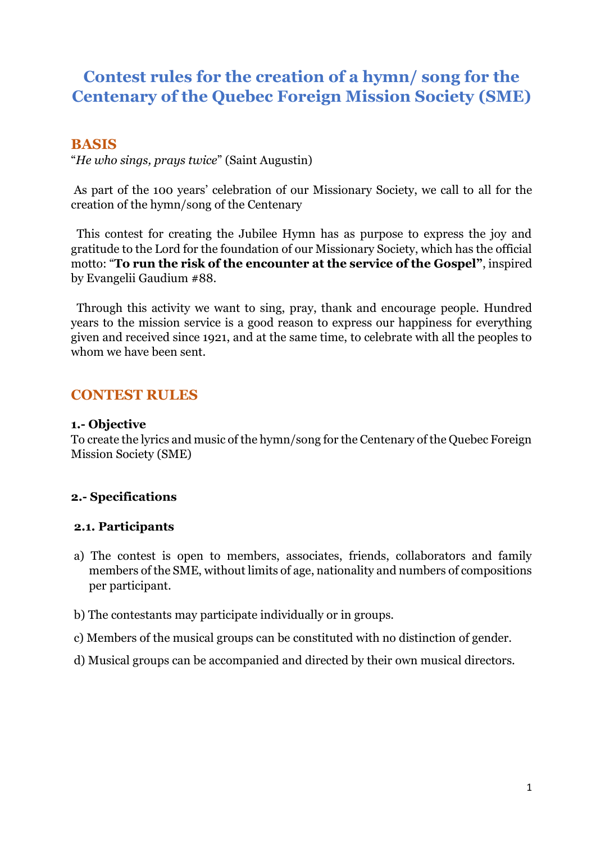# **Contest rules for the creation of a hymn/ song for the Centenary of the Quebec Foreign Mission Society (SME)**

# **BASIS**

"*He who sings, prays twice*" (Saint Augustin)

As part of the 100 years' celebration of our Missionary Society, we call to all for the creation of the hymn/song of the Centenary

 This contest for creating the Jubilee Hymn has as purpose to express the joy and gratitude to the Lord for the foundation of our Missionary Society, which has the official motto: "**To run the risk of the encounter at the service of the Gospel"**, inspired by Evangelii Gaudium #88.

 Through this activity we want to sing, pray, thank and encourage people. Hundred years to the mission service is a good reason to express our happiness for everything given and received since 1921, and at the same time, to celebrate with all the peoples to whom we have been sent.

# **CONTEST RULES**

#### **1.- Objective**

To create the lyrics and music of the hymn/song for the Centenary of the Quebec Foreign Mission Society (SME)

### **2.- Specifications**

### **2.1. Participants**

- a) The contest is open to members, associates, friends, collaborators and family members of the SME, without limits of age, nationality and numbers of compositions per participant.
- b) The contestants may participate individually or in groups.
- c) Members of the musical groups can be constituted with no distinction of gender.
- d) Musical groups can be accompanied and directed by their own musical directors.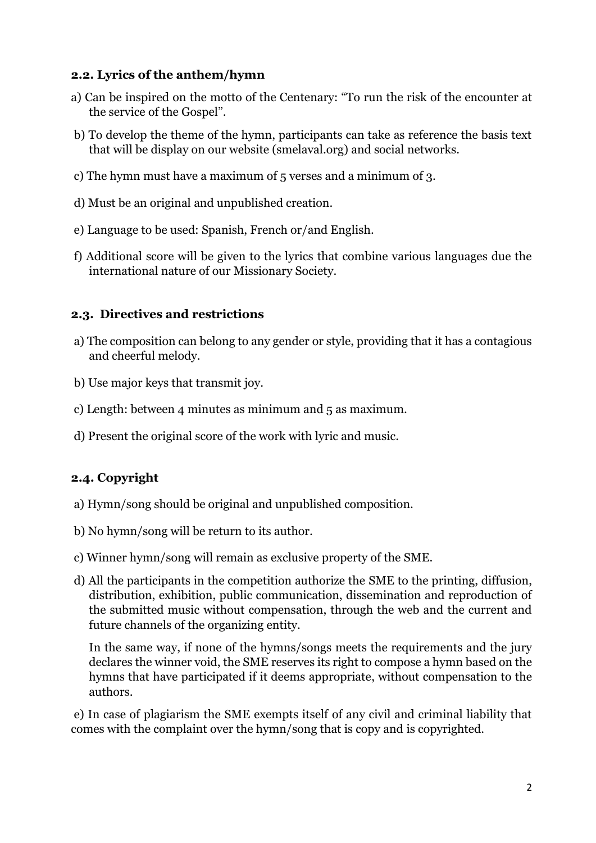### **2.2. Lyrics of the anthem/hymn**

- a) Can be inspired on the motto of the Centenary: "To run the risk of the encounter at the service of the Gospel".
- b) To develop the theme of the hymn, participants can take as reference the basis text that will be display on our website (smelaval.org) and social networks.
- c) The hymn must have a maximum of 5 verses and a minimum of 3.
- d) Must be an original and unpublished creation.
- e) Language to be used: Spanish, French or/and English.
- f) Additional score will be given to the lyrics that combine various languages due the international nature of our Missionary Society.

### **2.3. Directives and restrictions**

- a) The composition can belong to any gender or style, providing that it has a contagious and cheerful melody.
- b) Use major keys that transmit joy.
- c) Length: between 4 minutes as minimum and 5 as maximum.
- d) Present the original score of the work with lyric and music.

# **2.4. Copyright**

- a) Hymn/song should be original and unpublished composition.
- b) No hymn/song will be return to its author.
- c) Winner hymn/song will remain as exclusive property of the SME.
- d) All the participants in the competition authorize the SME to the printing, diffusion, distribution, exhibition, public communication, dissemination and reproduction of the submitted music without compensation, through the web and the current and future channels of the organizing entity.

In the same way, if none of the hymns/songs meets the requirements and the jury declares the winner void, the SME reserves its right to compose a hymn based on the hymns that have participated if it deems appropriate, without compensation to the authors.

e) In case of plagiarism the SME exempts itself of any civil and criminal liability that comes with the complaint over the hymn/song that is copy and is copyrighted.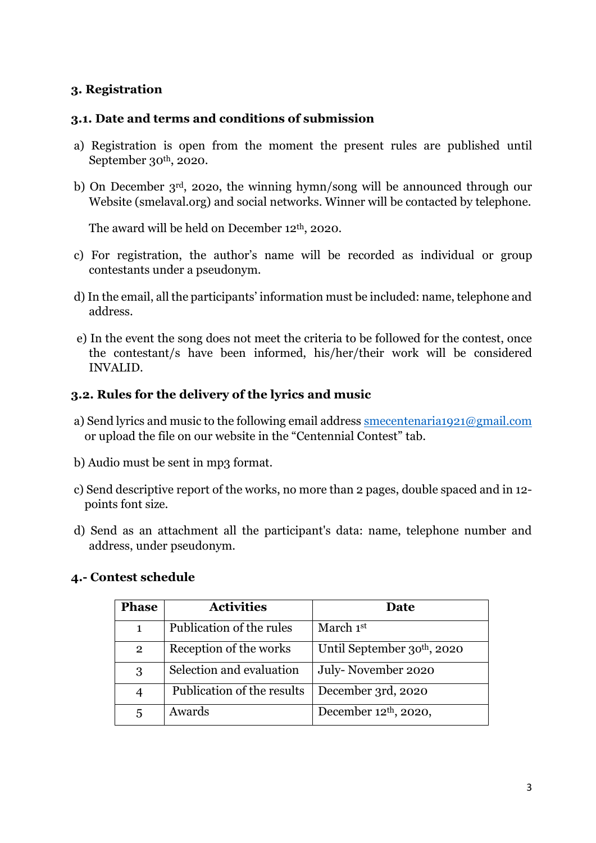# **3. Registration**

#### **3.1. Date and terms and conditions of submission**

- a) Registration is open from the moment the present rules are published until September 30<sup>th</sup>, 2020.
- b) On December 3rd, 202o, the winning hymn/song will be announced through our Website (smelaval.org) and social networks. Winner will be contacted by telephone.

The award will be held on December 12<sup>th</sup>, 2020.

- c) For registration, the author's name will be recorded as individual or group contestants under a pseudonym.
- d) In the email, all the participants' information must be included: name, telephone and address.
- e) In the event the song does not meet the criteria to be followed for the contest, once the contestant/s have been informed, his/her/their work will be considered INVALID.

#### **3.2. Rules for the delivery of the lyrics and music**

- a) Send lyrics and music to the following email address [smecentenaria1921@gmail.com](mailto:smecentenaria1921@gmail.com) or upload the file on our website in the "Centennial Contest" tab.
- b) Audio must be sent in mp3 format.
- c) Send descriptive report of the works, no more than 2 pages, double spaced and in 12 points font size.
- d) Send as an attachment all the participant's data: name, telephone number and address, under pseudonym.

#### **4.- Contest schedule**

| <b>Phase</b>   | <b>Activities</b>          | Date                       |
|----------------|----------------------------|----------------------------|
| $\mathbf{1}$   | Publication of the rules   | March 1st                  |
| $\overline{2}$ | Reception of the works     | Until September 30th, 2020 |
| 3              | Selection and evaluation   | July-November 2020         |
| $\overline{4}$ | Publication of the results | December 3rd, 2020         |
| 5              | Awards                     | December $12th$ , 2020,    |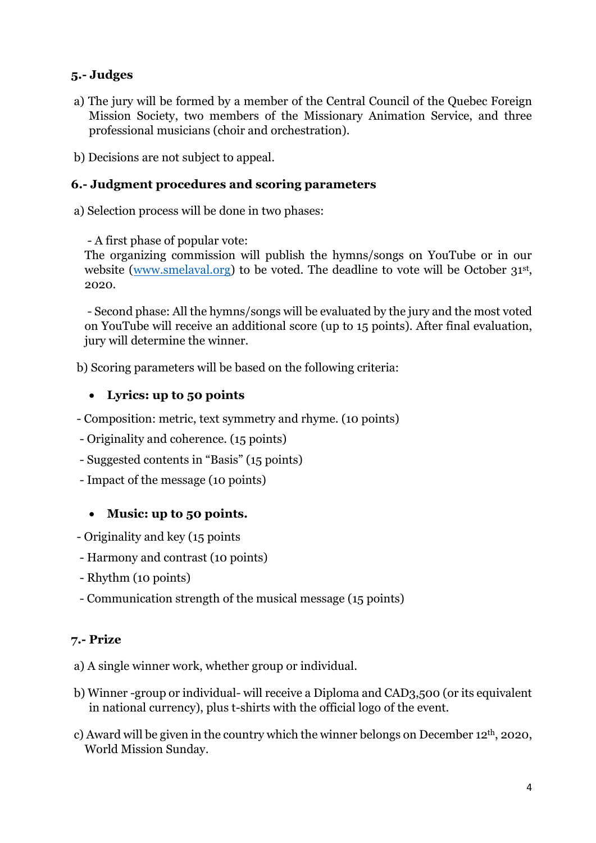# **5.- Judges**

- a) The jury will be formed by a member of the Central Council of the Quebec Foreign Mission Society, two members of the Missionary Animation Service, and three professional musicians (choir and orchestration).
- b) Decisions are not subject to appeal.

# **6.- Judgment procedures and scoring parameters**

a) Selection process will be done in two phases:

- A first phase of popular vote:

The organizing commission will publish the hymns/songs on YouTube or in our website [\(www.smelaval.org\)](http://www.smelaval.org/) to be voted. The deadline to vote will be October 31<sup>st</sup>, 2020.

- Second phase: All the hymns/songs will be evaluated by the jury and the most voted on YouTube will receive an additional score (up to 15 points). After final evaluation, jury will determine the winner.

b) Scoring parameters will be based on the following criteria:

### • **Lyrics: up to 50 points**

- Composition: metric, text symmetry and rhyme. (10 points)

- Originality and coherence. (15 points)
- Suggested contents in "Basis" (15 points)
- Impact of the message (10 points)

# • **Music: up to 50 points.**

- Originality and key (15 points
- Harmony and contrast (10 points)
- Rhythm (10 points)
- Communication strength of the musical message (15 points)

### **7.- Prize**

a) A single winner work, whether group or individual.

- b) Winner -group or individual- will receive a Diploma and CAD3,500 (or its equivalent in national currency), plus t-shirts with the official logo of the event.
- c) Award will be given in the country which the winner belongs on December 12th, 2020, World Mission Sunday.